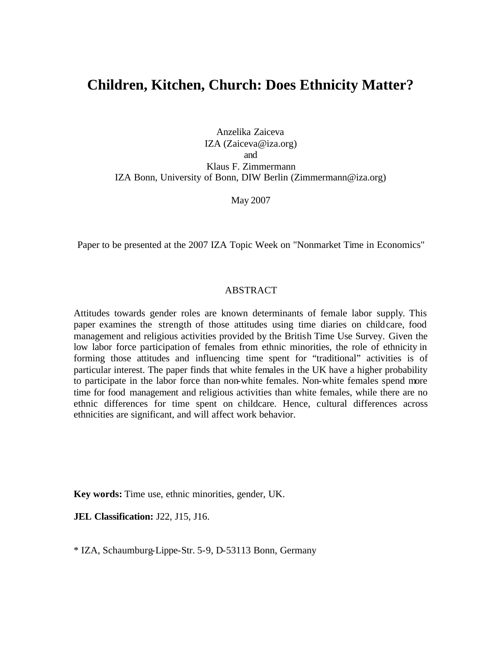# **Children, Kitchen, Church: Does Ethnicity Matter?**

Anzelika Zaiceva IZA (Zaiceva@iza.org) and Klaus F. Zimmermann IZA Bonn, University of Bonn, DIW Berlin (Zimmermann@iza.org)

May 2007

Paper to be presented at the 2007 IZA Topic Week on "Nonmarket Time in Economics"

### ABSTRACT

Attitudes towards gender roles are known determinants of female labor supply. This paper examines the strength of those attitudes using time diaries on childcare, food management and religious activities provided by the British Time Use Survey. Given the low labor force participation of females from ethnic minorities, the role of ethnicity in forming those attitudes and influencing time spent for "traditional" activities is of particular interest. The paper finds that white females in the UK have a higher probability to participate in the labor force than non-white females. Non-white females spend more time for food management and religious activities than white females, while there are no ethnic differences for time spent on childcare. Hence, cultural differences across ethnicities are significant, and will affect work behavior.

**Key words:** Time use, ethnic minorities, gender, UK.

**JEL Classification: J22, J15, J16.** 

\* IZA, Schaumburg-Lippe-Str. 5-9, D-53113 Bonn, Germany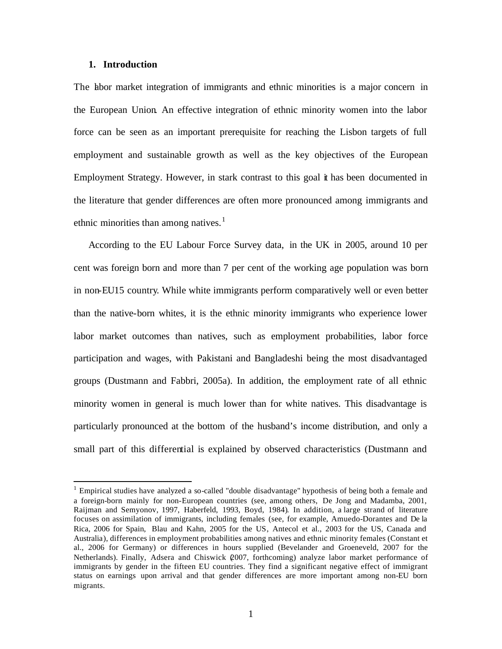#### **1. Introduction**

 $\overline{a}$ 

The labor market integration of immigrants and ethnic minorities is a major concern in the European Union. An effective integration of ethnic minority women into the labor force can be seen as an important prerequisite for reaching the Lisbon targets of full employment and sustainable growth as well as the key objectives of the European Employment Strategy. However, in stark contrast to this goal it has been documented in the literature that gender differences are often more pronounced among immigrants and ethnic minorities than among natives.<sup>1</sup>

According to the EU Labour Force Survey data, in the UK in 2005, around 10 per cent was foreign born and more than 7 per cent of the working age population was born in non-EU15 country. While white immigrants perform comparatively well or even better than the native-born whites, it is the ethnic minority immigrants who experience lower labor market outcomes than natives, such as employment probabilities, labor force participation and wages, with Pakistani and Bangladeshi being the most disadvantaged groups (Dustmann and Fabbri, 2005a). In addition, the employment rate of all ethnic minority women in general is much lower than for white natives. This disadvantage is particularly pronounced at the bottom of the husband's income distribution, and only a small part of this differential is explained by observed characteristics (Dustmann and

<sup>&</sup>lt;sup>1</sup> Empirical studies have analyzed a so-called "double disadvantage" hypothesis of being both a female and a foreign-born mainly for non-European countries (see, among others, De Jong and Madamba, 2001, Raijman and Semyonov, 1997, Haberfeld, 1993, Boyd, 1984). In addition, a large strand of literature focuses on assimilation of immigrants, including females (see, for example, Amuedo-Dorantes and De la Rica, 2006 for Spain, Blau and Kahn, 2005 for the US, Antecol et al., 2003 for the US, Canada and Australia), differences in employment probabilities among natives and ethnic minority females (Constant et al., 2006 for Germany) or differences in hours supplied (Bevelander and Groeneveld, 2007 for the Netherlands). Finally, Adsera and Chiswick (2007, forthcoming) analyze labor market performance of immigrants by gender in the fifteen EU countries. They find a significant negative effect of immigrant status on earnings upon arrival and that gender differences are more important among non-EU born migrants.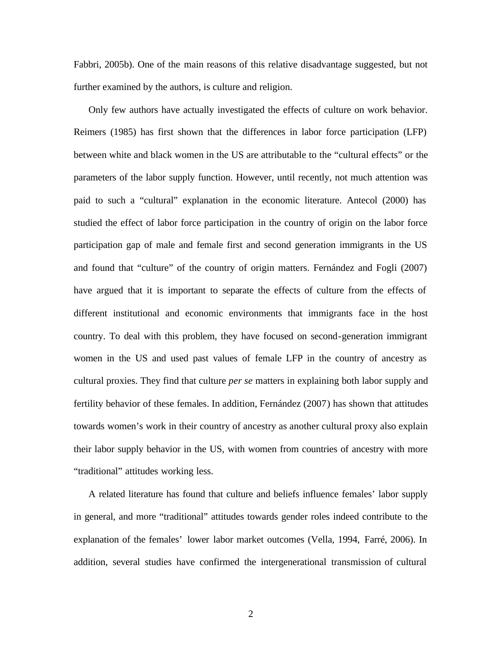Fabbri, 2005b). One of the main reasons of this relative disadvantage suggested, but not further examined by the authors, is culture and religion.

Only few authors have actually investigated the effects of culture on work behavior. Reimers (1985) has first shown that the differences in labor force participation (LFP) between white and black women in the US are attributable to the "cultural effects" or the parameters of the labor supply function. However, until recently, not much attention was paid to such a "cultural" explanation in the economic literature. Antecol (2000) has studied the effect of labor force participation in the country of origin on the labor force participation gap of male and female first and second generation immigrants in the US and found that "culture" of the country of origin matters. Fernández and Fogli (2007) have argued that it is important to separate the effects of culture from the effects of different institutional and economic environments that immigrants face in the host country. To deal with this problem, they have focused on second-generation immigrant women in the US and used past values of female LFP in the country of ancestry as cultural proxies. They find that culture *per se* matters in explaining both labor supply and fertility behavior of these females. In addition, Fernández (2007) has shown that attitudes towards women's work in their country of ancestry as another cultural proxy also explain their labor supply behavior in the US, with women from countries of ancestry with more "traditional" attitudes working less.

A related literature has found that culture and beliefs influence females' labor supply in general, and more "traditional" attitudes towards gender roles indeed contribute to the explanation of the females' lower labor market outcomes (Vella, 1994, Farré, 2006). In addition, several studies have confirmed the intergenerational transmission of cultural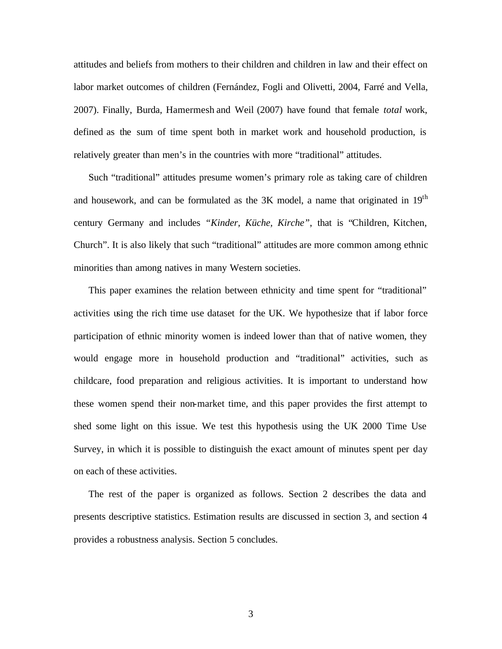attitudes and beliefs from mothers to their children and children in law and their effect on labor market outcomes of children (Fernández, Fogli and Olivetti, 2004, Farré and Vella, 2007). Finally, Burda, Hamermesh and Weil (2007) have found that female *total* work, defined as the sum of time spent both in market work and household production, is relatively greater than men's in the countries with more "traditional" attitudes.

Such "traditional" attitudes presume women's primary role as taking care of children and housework, and can be formulated as the  $3K$  model, a name that originated in  $19<sup>th</sup>$ century Germany and includes *"Kinder, Küche, Kirche"*, that is "Children, Kitchen, Church". It is also likely that such "traditional" attitudes are more common among ethnic minorities than among natives in many Western societies.

This paper examines the relation between ethnicity and time spent for "traditional" activities using the rich time use dataset for the UK. We hypothesize that if labor force participation of ethnic minority women is indeed lower than that of native women, they would engage more in household production and "traditional" activities, such as childcare, food preparation and religious activities. It is important to understand how these women spend their non-market time, and this paper provides the first attempt to shed some light on this issue. We test this hypothesis using the UK 2000 Time Use Survey, in which it is possible to distinguish the exact amount of minutes spent per day on each of these activities.

The rest of the paper is organized as follows. Section 2 describes the data and presents descriptive statistics. Estimation results are discussed in section 3, and section 4 provides a robustness analysis. Section 5 concludes.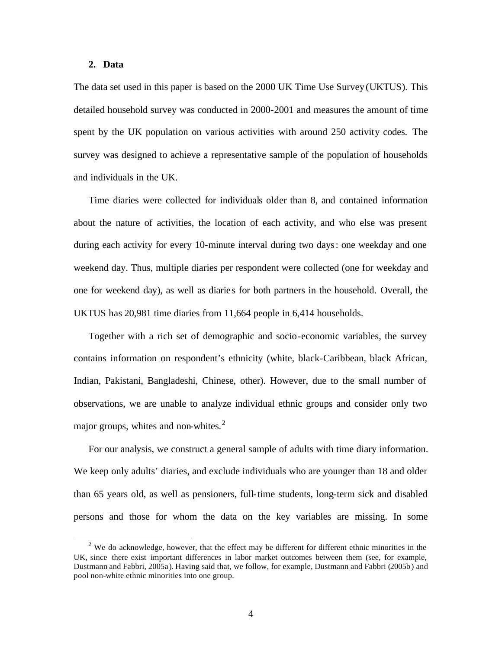### **2. Data**

 $\overline{a}$ 

The data set used in this paper is based on the 2000 UK Time Use Survey (UKTUS). This detailed household survey was conducted in 2000-2001 and measures the amount of time spent by the UK population on various activities with around 250 activity codes. The survey was designed to achieve a representative sample of the population of households and individuals in the UK.

Time diaries were collected for individuals older than 8, and contained information about the nature of activities, the location of each activity, and who else was present during each activity for every 10-minute interval during two days: one weekday and one weekend day. Thus, multiple diaries per respondent were collected (one for weekday and one for weekend day), as well as diarie s for both partners in the household. Overall, the UKTUS has 20,981 time diaries from 11,664 people in 6,414 households.

Together with a rich set of demographic and socio-economic variables, the survey contains information on respondent's ethnicity (white, black-Caribbean, black African, Indian, Pakistani, Bangladeshi, Chinese, other). However, due to the small number of observations, we are unable to analyze individual ethnic groups and consider only two major groups, whites and non-whites.<sup>2</sup>

For our analysis, we construct a general sample of adults with time diary information. We keep only adults' diaries, and exclude individuals who are younger than 18 and older than 65 years old, as well as pensioners, full-time students, long-term sick and disabled persons and those for whom the data on the key variables are missing. In some

 $2$  We do acknowledge, however, that the effect may be different for different ethnic minorities in the UK, since there exist important differences in labor market outcomes between them (see, for example, Dustmann and Fabbri, 2005a). Having said that, we follow, for example, Dustmann and Fabbri (2005b) and pool non-white ethnic minorities into one group.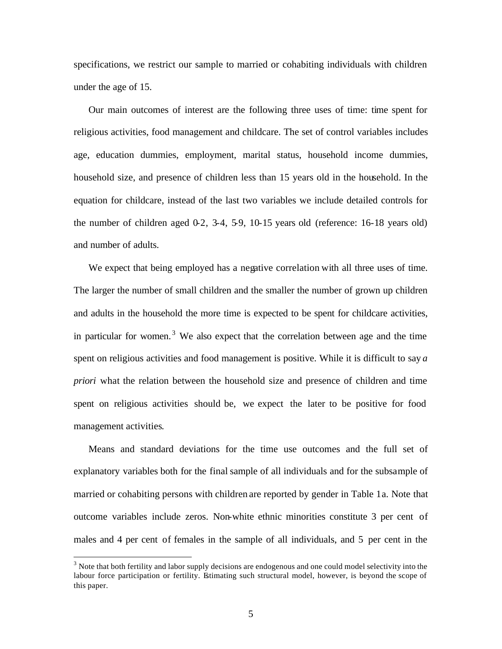specifications, we restrict our sample to married or cohabiting individuals with children under the age of 15.

Our main outcomes of interest are the following three uses of time: time spent for religious activities, food management and childcare. The set of control variables includes age, education dummies, employment, marital status, household income dummies, household size, and presence of children less than 15 years old in the household. In the equation for childcare, instead of the last two variables we include detailed controls for the number of children aged  $0.2$ ,  $3.4$ ,  $5.9$ ,  $10.15$  years old (reference:  $16-18$  years old) and number of adults.

We expect that being employed has a negative correlation with all three uses of time. The larger the number of small children and the smaller the number of grown up children and adults in the household the more time is expected to be spent for childcare activities, in particular for women.<sup>3</sup> We also expect that the correlation between age and the time spent on religious activities and food management is positive. While it is difficult to say *a priori* what the relation between the household size and presence of children and time spent on religious activities should be, we expect the later to be positive for food management activities.

Means and standard deviations for the time use outcomes and the full set of explanatory variables both for the final sample of all individuals and for the subsample of married or cohabiting persons with children are reported by gender in Table 1a. Note that outcome variables include zeros. Non-white ethnic minorities constitute 3 per cent of males and 4 per cent of females in the sample of all individuals, and 5 per cent in the

 $\overline{a}$ 

 $3$  Note that both fertility and labor supply decisions are endogenous and one could model selectivity into the labour force participation or fertility. Estimating such structural model, however, is beyond the scope of this paper.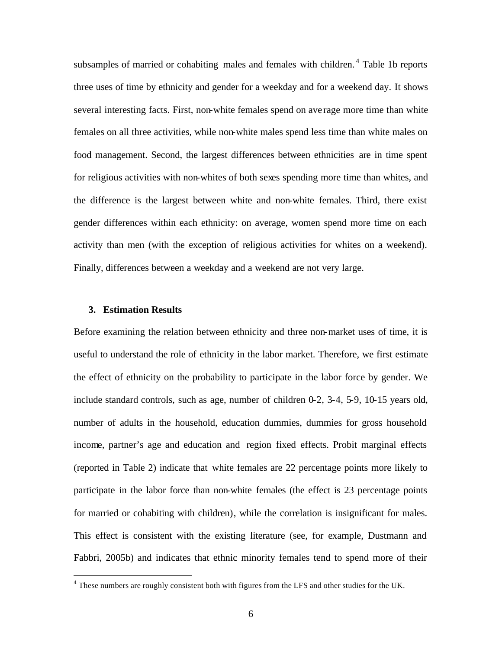subsamples of married or cohabiting males and females with children.<sup>4</sup> Table 1b reports three uses of time by ethnicity and gender for a weekday and for a weekend day. It shows several interesting facts. First, non-white females spend on ave rage more time than white females on all three activities, while non-white males spend less time than white males on food management. Second, the largest differences between ethnicities are in time spent for religious activities with non-whites of both sexes spending more time than whites, and the difference is the largest between white and non-white females. Third, there exist gender differences within each ethnicity: on average, women spend more time on each activity than men (with the exception of religious activities for whites on a weekend). Finally, differences between a weekday and a weekend are not very large.

### **3. Estimation Results**

 $\overline{a}$ 

Before examining the relation between ethnicity and three non-market uses of time, it is useful to understand the role of ethnicity in the labor market. Therefore, we first estimate the effect of ethnicity on the probability to participate in the labor force by gender. We include standard controls, such as age, number of children 0-2, 3-4, 5-9, 10-15 years old, number of adults in the household, education dummies, dummies for gross household income, partner's age and education and region fixed effects. Probit marginal effects (reported in Table 2) indicate that white females are 22 percentage points more likely to participate in the labor force than non-white females (the effect is 23 percentage points for married or cohabiting with children), while the correlation is insignificant for males. This effect is consistent with the existing literature (see, for example, Dustmann and Fabbri, 2005b) and indicates that ethnic minority females tend to spend more of their

 $4$  These numbers are roughly consistent both with figures from the LFS and other studies for the UK.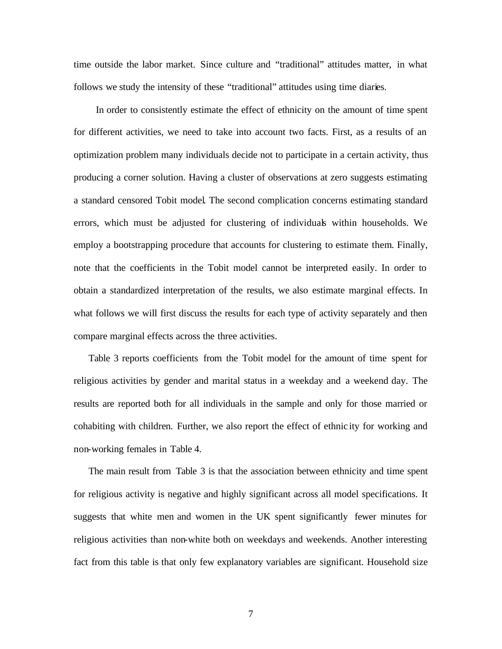time outside the labor market. Since culture and "traditional" attitudes matter, in what follows we study the intensity of these "traditional" attitudes using time diaries.

 In order to consistently estimate the effect of ethnicity on the amount of time spent for different activities, we need to take into account two facts. First, as a results of an optimization problem many individuals decide not to participate in a certain activity, thus producing a corner solution. Having a cluster of observations at zero suggests estimating a standard censored Tobit model. The second complication concerns estimating standard errors, which must be adjusted for clustering of individuals within households. We employ a bootstrapping procedure that accounts for clustering to estimate them. Finally, note that the coefficients in the Tobit model cannot be interpreted easily. In order to obtain a standardized interpretation of the results, we also estimate marginal effects. In what follows we will first discuss the results for each type of activity separately and then compare marginal effects across the three activities.

Table 3 reports coefficients from the Tobit model for the amount of time spent for religious activities by gender and marital status in a weekday and a weekend day. The results are reported both for all individuals in the sample and only for those married or cohabiting with children. Further, we also report the effect of ethnic ity for working and non-working females in Table 4.

The main result from Table 3 is that the association between ethnicity and time spent for religious activity is negative and highly significant across all model specifications. It suggests that white men and women in the UK spent significantly fewer minutes for religious activities than non-white both on weekdays and weekends. Another interesting fact from this table is that only few explanatory variables are significant. Household size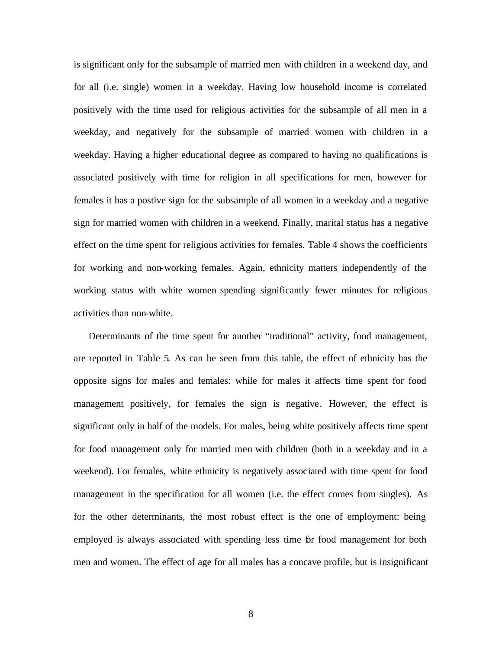is significant only for the subsample of married men with children in a weekend day, and for all (i.e. single) women in a weekday. Having low household income is correlated positively with the time used for religious activities for the subsample of all men in a weekday, and negatively for the subsample of married women with children in a weekday. Having a higher educational degree as compared to having no qualifications is associated positively with time for religion in all specifications for men, however for females it has a postive sign for the subsample of all women in a weekday and a negative sign for married women with children in a weekend. Finally, marital status has a negative effect on the time spent for religious activities for females. Table 4 shows the coefficients for working and non-working females. Again, ethnicity matters independently of the working status with white women spending significantly fewer minutes for religious activities than non-white.

Determinants of the time spent for another "traditional" activity, food management, are reported in Table 5. As can be seen from this table, the effect of ethnicity has the opposite signs for males and females: while for males it affects time spent for food management positively, for females the sign is negative. However, the effect is significant only in half of the models. For males, being white positively affects time spent for food management only for married men with children (both in a weekday and in a weekend). For females, white ethnicity is negatively associated with time spent for food management in the specification for all women (i.e. the effect comes from singles). As for the other determinants, the most robust effect is the one of employment: being employed is always associated with spending less time for food management for both men and women. The effect of age for all males has a concave profile, but is insignificant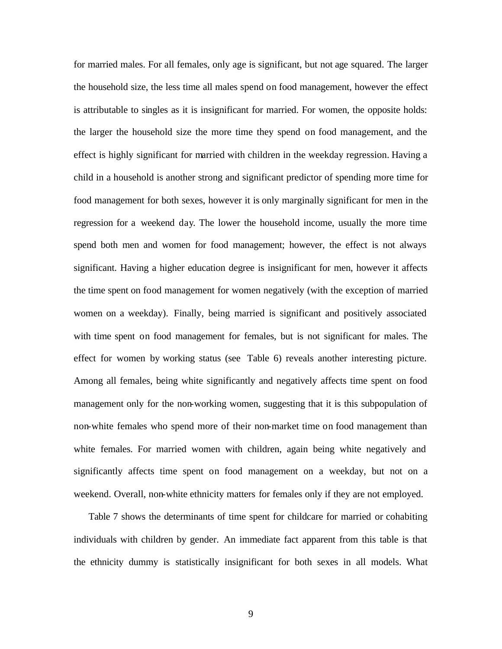for married males. For all females, only age is significant, but not age squared. The larger the household size, the less time all males spend on food management, however the effect is attributable to singles as it is insignificant for married. For women, the opposite holds: the larger the household size the more time they spend on food management, and the effect is highly significant for married with children in the weekday regression. Having a child in a household is another strong and significant predictor of spending more time for food management for both sexes, however it is only marginally significant for men in the regression for a weekend day. The lower the household income, usually the more time spend both men and women for food management; however, the effect is not always significant. Having a higher education degree is insignificant for men, however it affects the time spent on food management for women negatively (with the exception of married women on a weekday). Finally, being married is significant and positively associated with time spent on food management for females, but is not significant for males. The effect for women by working status (see Table 6) reveals another interesting picture. Among all females, being white significantly and negatively affects time spent on food management only for the non-working women, suggesting that it is this subpopulation of non-white females who spend more of their non-market time on food management than white females. For married women with children, again being white negatively and significantly affects time spent on food management on a weekday, but not on a weekend. Overall, non-white ethnicity matters for females only if they are not employed.

Table 7 shows the determinants of time spent for childcare for married or cohabiting individuals with children by gender. An immediate fact apparent from this table is that the ethnicity dummy is statistically insignificant for both sexes in all models. What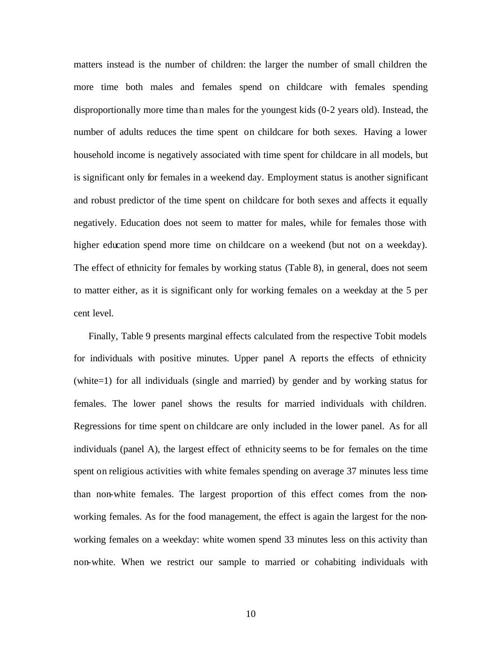matters instead is the number of children: the larger the number of small children the more time both males and females spend on childcare with females spending disproportionally more time than males for the youngest kids (0-2 years old). Instead, the number of adults reduces the time spent on childcare for both sexes. Having a lower household income is negatively associated with time spent for childcare in all models, but is significant only for females in a weekend day. Employment status is another significant and robust predictor of the time spent on childcare for both sexes and affects it equally negatively. Education does not seem to matter for males, while for females those with higher education spend more time on childcare on a weekend (but not on a weekday). The effect of ethnicity for females by working status (Table 8), in general, does not seem to matter either, as it is significant only for working females on a weekday at the 5 per cent level.

Finally, Table 9 presents marginal effects calculated from the respective Tobit models for individuals with positive minutes. Upper panel A reports the effects of ethnicity (white=1) for all individuals (single and married) by gender and by working status for females. The lower panel shows the results for married individuals with children. Regressions for time spent on childcare are only included in the lower panel. As for all individuals (panel A), the largest effect of ethnicity seems to be for females on the time spent on religious activities with white females spending on average 37 minutes less time than non-white females. The largest proportion of this effect comes from the nonworking females. As for the food management, the effect is again the largest for the nonworking females on a weekday: white women spend 33 minutes less on this activity than non-white. When we restrict our sample to married or cohabiting individuals with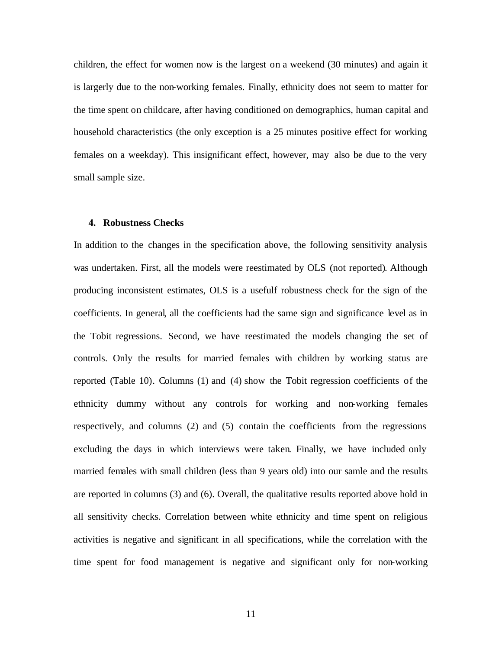children, the effect for women now is the largest on a weekend (30 minutes) and again it is largerly due to the non-working females. Finally, ethnicity does not seem to matter for the time spent on childcare, after having conditioned on demographics, human capital and household characteristics (the only exception is a 25 minutes positive effect for working females on a weekday). This insignificant effect, however, may also be due to the very small sample size.

### **4. Robustness Checks**

In addition to the changes in the specification above, the following sensitivity analysis was undertaken. First, all the models were reestimated by OLS (not reported). Although producing inconsistent estimates, OLS is a usefulf robustness check for the sign of the coefficients. In general, all the coefficients had the same sign and significance level as in the Tobit regressions. Second, we have reestimated the models changing the set of controls. Only the results for married females with children by working status are reported (Table 10). Columns (1) and (4) show the Tobit regression coefficients of the ethnicity dummy without any controls for working and non-working females respectively, and columns (2) and (5) contain the coefficients from the regressions excluding the days in which interviews were taken. Finally, we have included only married females with small children (less than 9 years old) into our samle and the results are reported in columns (3) and (6). Overall, the qualitative results reported above hold in all sensitivity checks. Correlation between white ethnicity and time spent on religious activities is negative and significant in all specifications, while the correlation with the time spent for food management is negative and significant only for non-working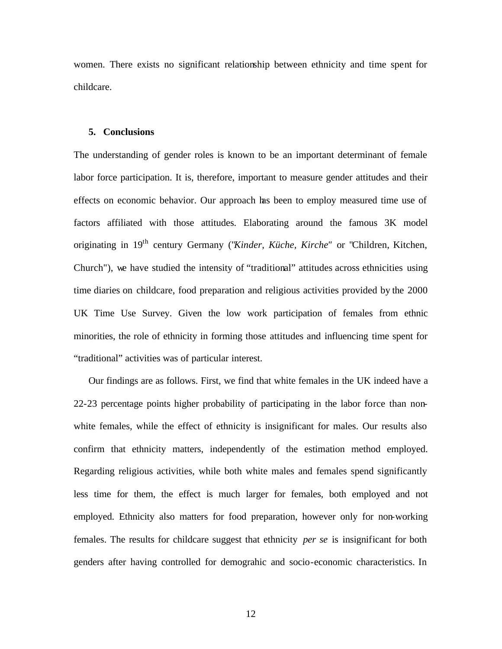women. There exists no significant relationship between ethnicity and time spent for childcare.

#### **5. Conclusions**

The understanding of gender roles is known to be an important determinant of female labor force participation. It is, therefore, important to measure gender attitudes and their effects on economic behavior. Our approach has been to employ measured time use of factors affiliated with those attitudes. Elaborating around the famous 3K model originating in 19th century Germany ("*Kinder, Küche, Kirche"* or "Children, Kitchen, Church"), we have studied the intensity of "traditional" attitudes across ethnicities using time diaries on childcare, food preparation and religious activities provided by the 2000 UK Time Use Survey. Given the low work participation of females from ethnic minorities, the role of ethnicity in forming those attitudes and influencing time spent for "traditional" activities was of particular interest.

Our findings are as follows. First, we find that white females in the UK indeed have a 22-23 percentage points higher probability of participating in the labor force than nonwhite females, while the effect of ethnicity is insignificant for males. Our results also confirm that ethnicity matters, independently of the estimation method employed. Regarding religious activities, while both white males and females spend significantly less time for them, the effect is much larger for females, both employed and not employed. Ethnicity also matters for food preparation, however only for non-working females. The results for childcare suggest that ethnicity *per se* is insignificant for both genders after having controlled for demograhic and socio-economic characteristics. In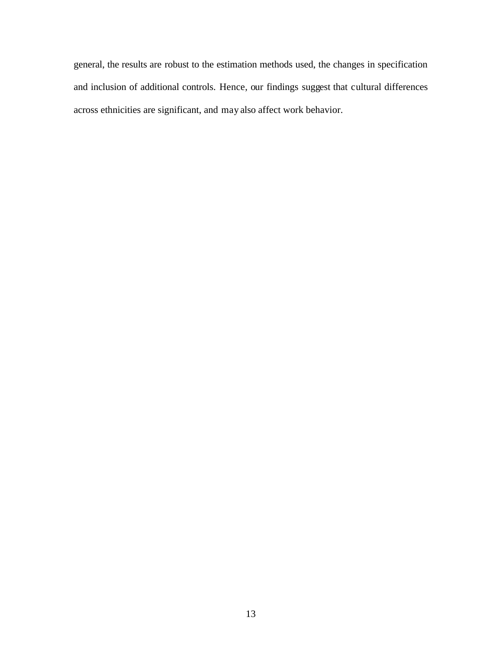general, the results are robust to the estimation methods used, the changes in specification and inclusion of additional controls. Hence, our findings suggest that cultural differences across ethnicities are significant, and may also affect work behavior.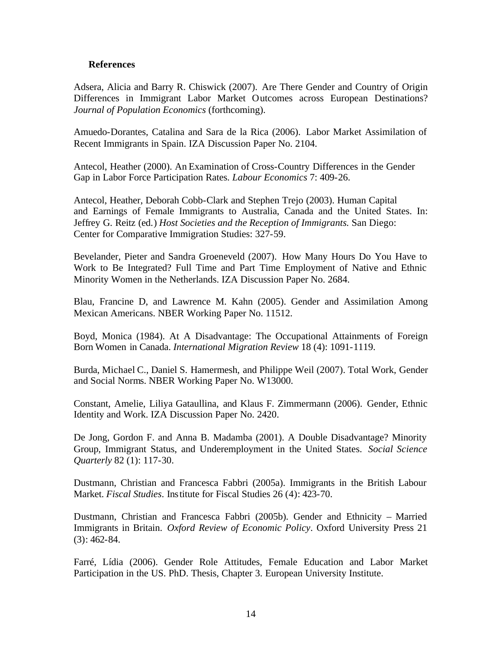### **References**

Adsera, Alicia and Barry R. Chiswick (2007). Are There Gender and Country of Origin Differences in Immigrant Labor Market Outcomes across European Destinations? *Journal of Population Economics* (forthcoming).

Amuedo-Dorantes, Catalina and Sara de la Rica (2006). Labor Market Assimilation of Recent Immigrants in Spain. IZA Discussion Paper No. 2104.

Antecol, Heather (2000). An Examination of Cross-Country Differences in the Gender Gap in Labor Force Participation Rates. *Labour Economics* 7: 409-26.

Antecol, Heather, Deborah Cobb-Clark and Stephen Trejo (2003). Human Capital and Earnings of Female Immigrants to Australia, Canada and the United States. In: Jeffrey G. Reitz (ed.) *Host Societies and the Reception of Immigrants.* San Diego: Center for Comparative Immigration Studies: 327-59.

Bevelander, Pieter and Sandra Groeneveld (2007). How Many Hours Do You Have to Work to Be Integrated? Full Time and Part Time Employment of Native and Ethnic Minority Women in the Netherlands. IZA Discussion Paper No. 2684.

Blau, Francine D, and Lawrence M. Kahn (2005). Gender and Assimilation Among Mexican Americans. NBER Working Paper No. 11512.

Boyd, Monica (1984). At A Disadvantage: The Occupational Attainments of Foreign Born Women in Canada. *International Migration Review* 18 (4): 1091-1119.

Burda, Michael C., Daniel S. Hamermesh, and Philippe Weil (2007). Total Work, Gender and Social Norms. NBER Working Paper No. W13000.

Constant, Amelie, Liliya Gataullina, and Klaus F. Zimmermann (2006). Gender, Ethnic Identity and Work. IZA Discussion Paper No. 2420.

De Jong, Gordon F. and Anna B. Madamba (2001). A Double Disadvantage? Minority Group, Immigrant Status, and Underemployment in the United States. *Social Science Quarterly* 82 (1): 117-30.

Dustmann, Christian and Francesca Fabbri (2005a). Immigrants in the British Labour Market. *Fiscal Studies*. Institute for Fiscal Studies 26 (4): 423-70.

Dustmann, Christian and Francesca Fabbri (2005b). Gender and Ethnicity – Married Immigrants in Britain. *Oxford Review of Economic Policy*. Oxford University Press 21 (3): 462-84.

Farré, Lídia (2006). Gender Role Attitudes, Female Education and Labor Market Participation in the US. PhD. Thesis, Chapter 3. European University Institute.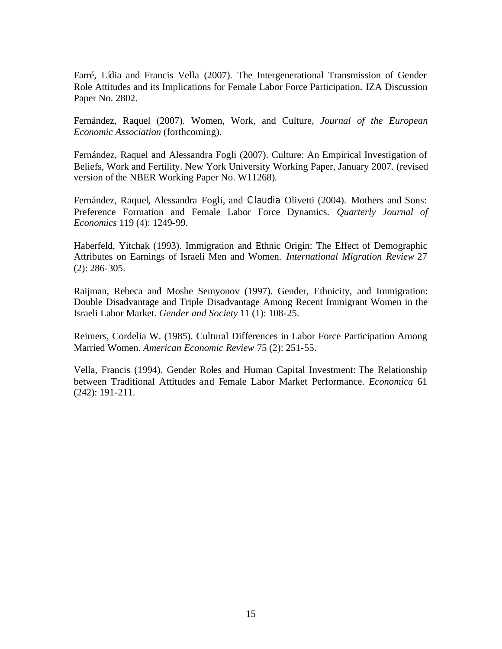Farré, Lídia and Francis Vella (2007). The Intergenerational Transmission of Gender Role Attitudes and its Implications for Female Labor Force Participation. IZA Discussion Paper No. 2802.

Fernández, Raquel (2007). Women, Work, and Culture, *Journal of the European Economic Association* (forthcoming).

Fernández, Raquel and Alessandra Fogli (2007). Culture: An Empirical Investigation of Beliefs, Work and Fertility. New York University Working Paper, January 2007. (revised version of the NBER Working Paper No. W11268).

Fernández, Raquel, Alessandra Fogli, and Claudia Olivetti (2004). Mothers and Sons: Preference Formation and Female Labor Force Dynamics. *Quarterly Journal of Economics* 119 (4): 1249-99.

Haberfeld, Yitchak (1993). Immigration and Ethnic Origin: The Effect of Demographic Attributes on Earnings of Israeli Men and Women. *International Migration Review* 27 (2): 286-305.

Raijman, Rebeca and Moshe Semyonov (1997). Gender, Ethnicity, and Immigration: Double Disadvantage and Triple Disadvantage Among Recent Immigrant Women in the Israeli Labor Market. *Gender and Society* 11 (1): 108-25.

Reimers, Cordelia W. (1985). Cultural Differences in Labor Force Participation Among Married Women. *American Economic Review* 75 (2): 251-55.

Vella, Francis (1994). Gender Roles and Human Capital Investment: The Relationship between Traditional Attitudes and Female Labor Market Performance. *Economica* 61 (242): 191-211.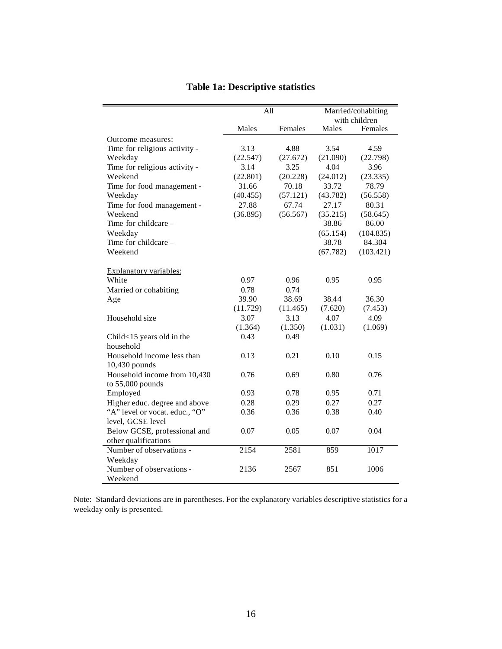|                                | All      |          |          | Married/cohabiting<br>with children |
|--------------------------------|----------|----------|----------|-------------------------------------|
|                                | Males    | Females  | Males    | Females                             |
| Outcome measures:              |          |          |          |                                     |
| Time for religious activity -  | 3.13     | 4.88     | 3.54     | 4.59                                |
| Weekday                        | (22.547) | (27.672) | (21.090) | (22.798)                            |
| Time for religious activity -  | 3.14     | 3.25     | 4.04     | 3.96                                |
| Weekend                        | (22.801) | (20.228) | (24.012) | (23.335)                            |
| Time for food management -     | 31.66    | 70.18    | 33.72    | 78.79                               |
| Weekday                        | (40.455) | (57.121) | (43.782) | (56.558)                            |
| Time for food management -     | 27.88    | 67.74    | 27.17    | 80.31                               |
| Weekend                        | (36.895) | (56.567) | (35.215) | (58.645)                            |
| Time for childcare -           |          |          | 38.86    | 86.00                               |
| Weekday                        |          |          | (65.154) | (104.835)                           |
| Time for childcare -           |          |          | 38.78    | 84.304                              |
| Weekend                        |          |          | (67.782) | (103.421)                           |
| Explanatory variables:         |          |          |          |                                     |
| White                          | 0.97     | 0.96     | 0.95     | 0.95                                |
| Married or cohabiting          | 0.78     | 0.74     |          |                                     |
| Age                            | 39.90    | 38.69    | 38.44    | 36.30                               |
|                                | (11.729) | (11.465) | (7.620)  | (7.453)                             |
| Household size                 | 3.07     | 3.13     | 4.07     | 4.09                                |
|                                | (1.364)  | (1.350)  | (1.031)  | (1.069)                             |
| Child<15 years old in the      | 0.43     | 0.49     |          |                                     |
| household                      |          |          |          |                                     |
| Household income less than     | 0.13     | 0.21     | 0.10     | 0.15                                |
| 10,430 pounds                  |          |          |          |                                     |
| Household income from 10,430   | 0.76     | 0.69     | 0.80     | 0.76                                |
| to 55,000 pounds               |          |          |          |                                     |
| Employed                       | 0.93     | 0.78     | 0.95     | 0.71                                |
| Higher educ. degree and above  | 0.28     | 0.29     | 0.27     | 0.27                                |
| "A" level or vocat. educ., "O" | 0.36     | 0.36     | 0.38     | 0.40                                |
| level, GCSE level              |          |          |          |                                     |
| Below GCSE, professional and   | 0.07     | 0.05     | 0.07     | 0.04                                |
| other qualifications           |          |          |          |                                     |
| Number of observations -       | 2154     | 2581     | 859      | 1017                                |
| Weekday                        |          |          |          |                                     |
| Number of observations -       | 2136     | 2567     | 851      | 1006                                |
| Weekend                        |          |          |          |                                     |

# **Table 1a: Descriptive statistics**

Note: Standard deviations are in parentheses. For the explanatory variables descriptive statistics for a weekday only is presented.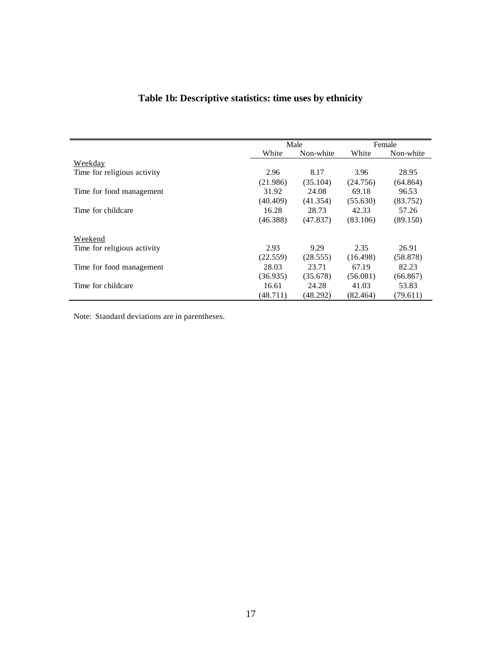# **Table 1b: Descriptive statistics: time uses by ethnicity**

|                             |          | Male      |          | Female    |
|-----------------------------|----------|-----------|----------|-----------|
|                             | White    | Non-white | White    | Non-white |
| Weekday                     |          |           |          |           |
| Time for religious activity | 2.96     | 8.17      | 3.96     | 28.95     |
|                             | (21.986) | (35.104)  | (24.756) | (64.864)  |
| Time for food management    | 31.92    | 24.08     | 69.18    | 96.53     |
|                             | (40.409) | (41.354)  | (55.630) | (83.752)  |
| Time for childcare          | 16.28    | 28.73     | 42.33    | 57.26     |
|                             | (46.388) | (47.837)  | (83.106) | (89.150)  |
| Weekend                     |          |           |          |           |
| Time for religious activity | 2.93     | 9.29      | 2.35     | 26.91     |
|                             | (22.559) | (28.555)  | (16.498) | (58.878)  |
| Time for food management    | 28.03    | 23.71     | 67.19    | 82.23     |
|                             | (36.935) | (35.678)  | (56.081) | (66.867)  |
| Time for childcare          | 16.61    | 24.28     | 41.03    | 53.83     |
|                             | (48.711) | (48.292)  | (82.464) | (79.611)  |

Note: Standard deviations are in parentheses.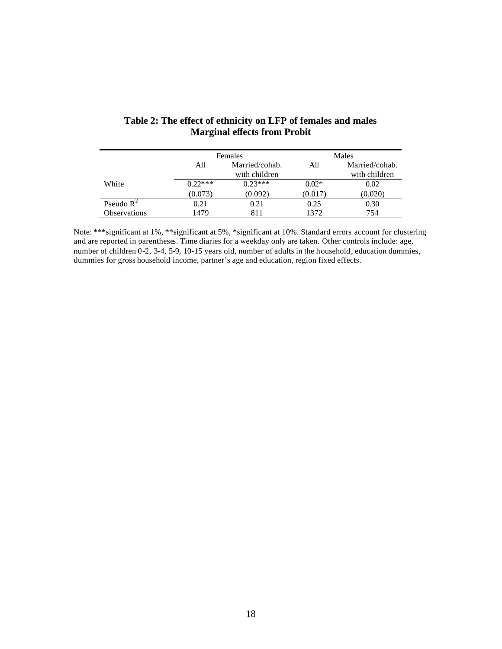|                     |           | Females                         | Males   |                                 |  |
|---------------------|-----------|---------------------------------|---------|---------------------------------|--|
|                     | All       | Married/cohab.<br>with children |         | Married/cohab.<br>with children |  |
| White               | $0.22***$ | $0.23***$                       | $0.02*$ | 0.02                            |  |
|                     | (0.073)   | (0.092)                         | (0.017) | (0.020)                         |  |
| Pseudo $R^2$        | 0.21      | 0.21                            | 0.25    | 0.30                            |  |
| <b>Observations</b> | 1479      | 811                             | 1372    | 754                             |  |

### **Table 2: The effect of ethnicity on LFP of females and males Marginal effects from Probit**

Note: \*\*\*significant at 1%, \*\*significant at 5%, \*significant at 10%. Standard errors account for clustering and are reported in parentheses. Time diaries for a weekday only are taken. Other controls include: age, number of children 0-2, 3-4, 5-9, 10-15 years old, number of adults in the household, education dummies, dummies for gross household income, partner's age and education, region fixed effects.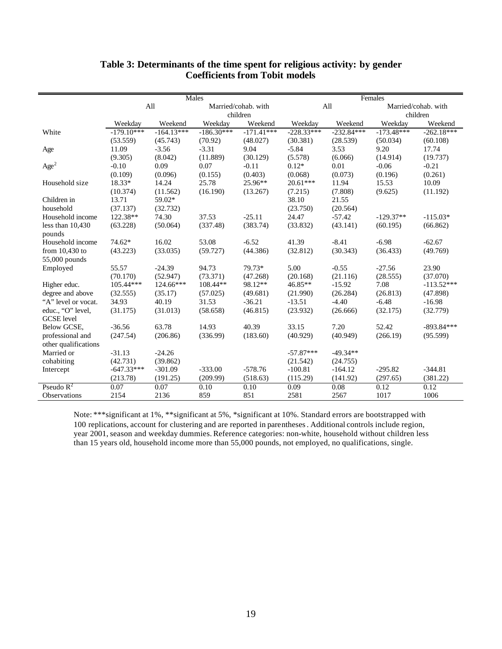|                      | Males        |              |              |                     | Females      |              |              |                     |
|----------------------|--------------|--------------|--------------|---------------------|--------------|--------------|--------------|---------------------|
|                      |              | All          |              | Married/cohab. with |              | All          |              | Married/cohab. with |
|                      |              |              |              | children            |              |              | children     |                     |
|                      | Weekday      | Weekend      | Weekdav      | Weekend             | Weekday      | Weekend      | Weekdav      | Weekend             |
| White                | $-179.10***$ | $-164.13***$ | $-186.30***$ | $-171.41***$        | $-228.33***$ | $-232.84***$ | $-173.48***$ | $-262.18***$        |
|                      | (53.559)     | (45.743)     | (70.92)      | (48.027)            | (30.381)     | (28.539)     | (50.034)     | (60.108)            |
| Age                  | 11.09        | $-3.56$      | $-3.31$      | 9.04                | $-5.84$      | 3.53         | 9.20         | 17.74               |
|                      | (9.305)      | (8.042)      | (11.889)     | (30.129)            | (5.578)      | (6.066)      | (14.914)     | (19.737)            |
| Age <sup>2</sup>     | $-0.10$      | 0.09         | 0.07         | $-0.11$             | $0.12*$      | 0.01         | $-0.06$      | $-0.21$             |
|                      | (0.109)      | (0.096)      | (0.155)      | (0.403)             | (0.068)      | (0.073)      | (0.196)      | (0.261)             |
| Household size       | 18.33*       | 14.24        | 25.78        | 25.96**             | $20.61***$   | 11.94        | 15.53        | 10.09               |
|                      | (10.374)     | (11.562)     | (16.190)     | (13.267)            | (7.215)      | (7.808)      | (9.625)      | (11.192)            |
| Children in          | 13.71        | 59.02*       |              |                     | 38.10        | 21.55        |              |                     |
| household            | (37.137)     | (32.732)     |              |                     | (23.750)     | (20.564)     |              |                     |
| Household income     | 122.38**     | 74.30        | 37.53        | $-25.11$            | 24.47        | $-57.42$     | $-129.37**$  | $-115.03*$          |
| less than $10,430$   | (63.228)     | (50.064)     | (337.48)     | (383.74)            | (33.832)     | (43.141)     | (60.195)     | (66.862)            |
| pounds               |              |              |              |                     |              |              |              |                     |
| Household income     | 74.62*       | 16.02        | 53.08        | $-6.52$             | 41.39        | $-8.41$      | $-6.98$      | $-62.67$            |
| from $10,430$ to     | (43.223)     | (33.035)     | (59.727)     | (44.386)            | (32.812)     | (30.343)     | (36.433)     | (49.769)            |
| 55,000 pounds        |              |              |              |                     |              |              |              |                     |
| Employed             | 55.57        | $-24.39$     | 94.73        | 79.73*              | 5.00         | $-0.55$      | $-27.56$     | 23.90               |
|                      | (70.170)     | (52.947)     | (73.371)     | (47.268)            | (20.168)     | (21.116)     | (28.555)     | (37.070)            |
| Higher educ.         | $105.44***$  | $124.66***$  | 108.44**     | 98.12**             | $46.85**$    | $-15.92$     | 7.08         | $-113.52***$        |
| degree and above     | (32.555)     | (35.17)      | (57.025)     | (49.681)            | (21.990)     | (26.284)     | (26.813)     | (47.898)            |
| "A" level or vocat.  | 34.93        | 40.19        | 31.53        | $-36.21$            | $-13.51$     | $-4.40$      | $-6.48$      | $-16.98$            |
| educ., "O" level,    | (31.175)     | (31.013)     | (58.658)     | (46.815)            | (23.932)     | (26.666)     | (32.175)     | (32.779)            |
| <b>GCSE</b> level    |              |              |              |                     |              |              |              |                     |
| Below GCSE,          | $-36.56$     | 63.78        | 14.93        | 40.39               | 33.15        | 7.20         | 52.42        | $-893.84***$        |
| professional and     | (247.54)     | (206.86)     | (336.99)     | (183.60)            | (40.929)     | (40.949)     | (266.19)     | (95.599)            |
| other qualifications |              |              |              |                     |              |              |              |                     |
| Married or           | $-31.13$     | $-24.26$     |              |                     | $-57.87***$  | $-49.34**$   |              |                     |
| cohabiting           | (42.731)     | (39.862)     |              |                     | (21.542)     | (24.755)     |              |                     |
| Intercept            | $-647.33***$ | $-301.09$    | $-333.00$    | $-578.76$           | $-100.81$    | $-164.12$    | $-295.82$    | $-344.81$           |
|                      | (213.78)     | (191.25)     | (209.99)     | (518.63)            | (115.29)     | (141.92)     | (297.65)     | (381.22)            |
| Pseudo $R^2$         | 0.07         | 0.07         | 0.10         | 0.10                | 0.09         | 0.08         | 0.12         | 0.12                |
| Observations         | 2154         | 2136         | 859          | 851                 | 2581         | 2567         | 1017         | 1006                |

### **Table 3: Determinants of the time spent for religious activity: by gender Coefficients from Tobit models**

Note: \*\*\*significant at 1%, \*\*significant at 5%, \*significant at 10%. Standard errors are bootstrapped with 100 replications, account for clustering and are reported in parentheses. Additional controls include region, year 2001, season and weekday dummies. Reference categories: non-white, household without children less than 15 years old, household income more than 55,000 pounds, not employed, no qualifications, single.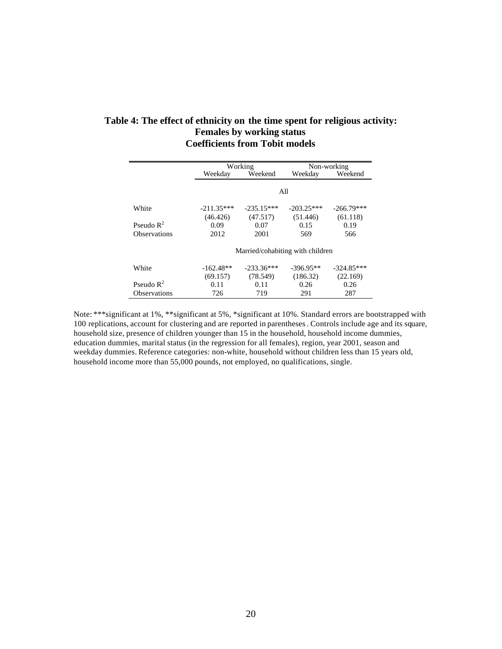### **Table 4: The effect of ethnicity on the time spent for religious activity: Females by working status Coefficients from Tobit models**

|                       |              | Working                          |              | Non-working  |
|-----------------------|--------------|----------------------------------|--------------|--------------|
|                       | Weekday      | Weekend                          |              | Weekend      |
|                       |              |                                  |              |              |
|                       |              |                                  | All          |              |
| White                 | $-211.35***$ | $-235.15***$                     | $-203.25***$ | $-266.79***$ |
|                       | (46.426)     | (47.517)                         | (51.446)     | (61.118)     |
| Pseudo $\mathbb{R}^2$ | 0.09         | 0.07                             | 0.15         | 0.19         |
| <b>Observations</b>   | 2012         | 2001                             | 569          | 566          |
|                       |              | Married/cohabiting with children |              |              |
| White                 | $-162.48**$  | $-233.36***$                     | $-396.95**$  | $-324.85***$ |
|                       | (69.157)     | (78.549)                         | (186.32)     | (22.169)     |
| Pseudo $\mathbb{R}^2$ | 0.11         | 0.11                             | 0.26         | 0.26         |
| <b>Observations</b>   | 726          | 719                              | 291          | 287          |

Note: \*\*\*significant at 1%, \*\*significant at 5%, \*significant at 10%. Standard errors are bootstrapped with 100 replications, account for clustering and are reported in parentheses. Controls include age and its square, household size, presence of children younger than 15 in the household, household income dummies, education dummies, marital status (in the regression for all females), region, year 2001, season and weekday dummies. Reference categories: non-white, household without children less than 15 years old, household income more than 55,000 pounds, not employed, no qualifications, single.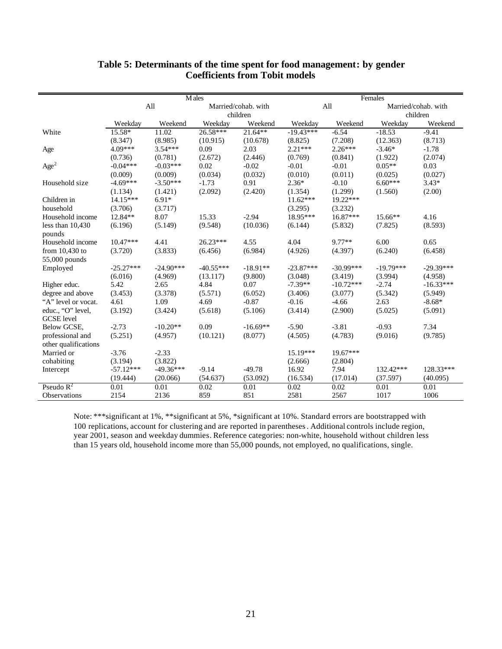|                      | <b>M</b> ales |             |             |                     | Females     |             |             |                     |  |
|----------------------|---------------|-------------|-------------|---------------------|-------------|-------------|-------------|---------------------|--|
|                      |               | All         |             | Married/cohab. with |             | All         |             | Married/cohab. with |  |
|                      |               |             |             | children            |             |             |             | children            |  |
|                      | Weekday       | Weekend     | Weekdav     | Weekend             | Weekday     | Weekend     | Weekdav     | Weekend             |  |
| White                | 15.58*        | 11.02       | $26.58***$  | $21.64**$           | $-19.43***$ | $-6.54$     | $-18.53$    | $-9.41$             |  |
|                      | (8.347)       | (8.985)     | (10.915)    | (10.678)            | (8.825)     | (7.208)     | (12.363)    | (8.713)             |  |
| Age                  | $4.09***$     | $3.54***$   | 0.09        | 2.03                | $2.21***$   | $2.26***$   | $-3.46*$    | $-1.78$             |  |
|                      | (0.736)       | (0.781)     | (2.672)     | (2.446)             | (0.769)     | (0.841)     | (1.922)     | (2.074)             |  |
| $\rm{Age}^2$         | $-0.04***$    | $-0.03***$  | 0.02        | $-0.02$             | $-0.01$     | $-0.01$     | $0.05**$    | 0.03                |  |
|                      | (0.009)       | (0.009)     | (0.034)     | (0.032)             | (0.010)     | (0.011)     | (0.025)     | (0.027)             |  |
| Household size       | $-4.69***$    | $-3.50***$  | $-1.73$     | 0.91                | $2.36*$     | $-0.10$     | $6.60***$   | $3.43*$             |  |
|                      | (1.134)       | (1.421)     | (2.092)     | (2.420)             | (1.354)     | (1.299)     | (1.560)     | (2.00)              |  |
| Children in          | $14.15***$    | $6.91*$     |             |                     | $11.62***$  | $19.22***$  |             |                     |  |
| household            | (3.706)       | (3.717)     |             |                     | (3.295)     | (3.232)     |             |                     |  |
| Household income     | 12.84**       | 8.07        | 15.33       | $-2.94$             | 18.95***    | $16.87***$  | $15.66**$   | 4.16                |  |
| less than $10,430$   | (6.196)       | (5.149)     | (9.548)     | (10.036)            | (6.144)     | (5.832)     | (7.825)     | (8.593)             |  |
| pounds               |               |             |             |                     |             |             |             |                     |  |
| Household income     | $10.47***$    | 4.41        | $26.23***$  | 4.55                | 4.04        | 9.77**      | 6.00        | 0.65                |  |
| from $10,430$ to     | (3.720)       | (3.833)     | (6.456)     | (6.984)             | (4.926)     | (4.397)     | (6.240)     | (6.458)             |  |
| 55,000 pounds        |               |             |             |                     |             |             |             |                     |  |
| Employed             | $-25.27***$   | $-24.90***$ | $-40.55***$ | $-18.91**$          | $-23.87***$ | $-30.99***$ | $-19.79***$ | $-29.39***$         |  |
|                      | (6.016)       | (4.969)     | (13.117)    | (9.800)             | (3.048)     | (3.419)     | (3.994)     | (4.958)             |  |
| Higher educ.         | 5.42          | 2.65        | 4.84        | 0.07                | $-7.39**$   | $-10.72***$ | $-2.74$     | $-16.33***$         |  |
| degree and above     | (3.453)       | (3.378)     | (5.571)     | (6.052)             | (3.406)     | (3.077)     | (5.342)     | (5.949)             |  |
| "A" level or vocat.  | 4.61          | 1.09        | 4.69        | $-0.87$             | $-0.16$     | $-4.66$     | 2.63        | $-8.68*$            |  |
| educ., "O" level,    | (3.192)       | (3.424)     | (5.618)     | (5.106)             | (3.414)     | (2.900)     | (5.025)     | (5.091)             |  |
| <b>GCSE</b> level    |               |             |             |                     |             |             |             |                     |  |
| Below GCSE,          | $-2.73$       | $-10.20**$  | 0.09        | $-16.69**$          | $-5.90$     | $-3.81$     | $-0.93$     | 7.34                |  |
| professional and     | (5.251)       | (4.957)     | (10.121)    | (8.077)             | (4.505)     | (4.783)     | (9.016)     | (9.785)             |  |
| other qualifications |               |             |             |                     |             |             |             |                     |  |
| Married or           | $-3.76$       | $-2.33$     |             |                     | 15.19***    | $19.67***$  |             |                     |  |
| cohabiting           | (3.194)       | (3.822)     |             |                     | (2.666)     | (2.804)     |             |                     |  |
| Intercept            | $-57.12***$   | $-49.36***$ | $-9.14$     | $-49.78$            | 16.92       | 7.94        | 132.42***   | 128.33***           |  |
|                      | (19.444)      | (20.066)    | (54.637)    | (53.092)            | (16.534)    | (17.014)    | (37.597)    | (40.095)            |  |
| Pseudo $R^2$         | 0.01          | 0.01        | 0.02        | 0.01                | 0.02        | 0.02        | 0.01        | 0.01                |  |
| Observations         | 2154          | 2136        | 859         | 851                 | 2581        | 2567        | 1017        | 1006                |  |

### **Table 5: Determinants of the time spent for food management: by gender Coefficients from Tobit models**

Note: \*\*\*significant at 1%, \*\*significant at 5%, \*significant at 10%. Standard errors are bootstrapped with 100 replications, account for clustering and are reported in parentheses. Additional controls include region, year 2001, season and weekday dummies. Reference categories: non-white, household without children less than 15 years old, household income more than 55,000 pounds, not employed, no qualifications, single.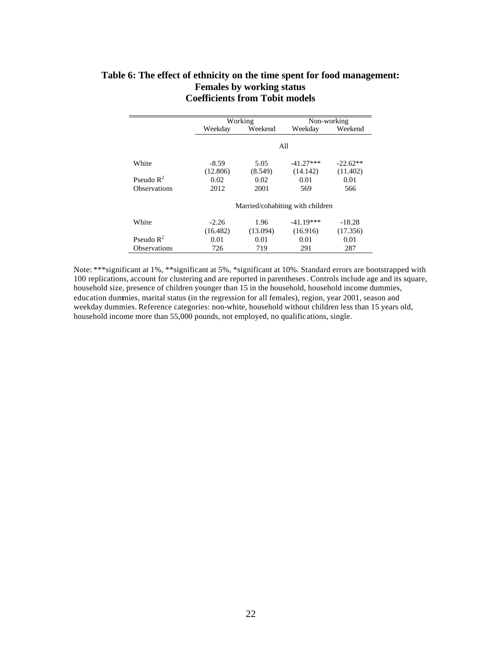### **Table 6: The effect of ethnicity on the time spent for food management: Females by working status Coefficients from Tobit models**

|                       |          | Working  |                                  | Non-working |
|-----------------------|----------|----------|----------------------------------|-------------|
|                       | Weekday  | Weekend  | Weekday                          | Weekend     |
|                       |          |          |                                  |             |
|                       |          |          | All                              |             |
| White                 | -8.59    | 5.05     | $-41.27***$                      | $-22.62**$  |
|                       | (12.806) | (8.549)  | (14.142)                         | (11.402)    |
| Pseudo $\mathbb{R}^2$ | 0.02     | 0.02     | 0.01                             | 0.01        |
| <b>Observations</b>   | 2012     | 2001     | 569                              | 566         |
|                       |          |          | Married/cohabiting with children |             |
| White                 | $-2.26$  | 1.96     | $-41.19***$                      | $-18.28$    |
|                       | (16.482) | (13.094) | (16.916)                         | (17.356)    |
| Pseudo $\mathbb{R}^2$ | 0.01     | 0.01     | 0.01                             | 0.01        |
| <b>Observations</b>   | 726      | 719      | 291                              | 287         |

Note: \*\*\*significant at 1%, \*\*significant at 5%, \*significant at 10%. Standard errors are bootstrapped with 100 replications, account for clustering and are reported in parentheses. Controls include age and its square, household size, presence of children younger than 15 in the household, household income dummies, education dummies, marital status (in the regression for all females), region, year 2001, season and weekday dummies. Reference categories: non-white, household without children less than 15 years old, household income more than 55,000 pounds, not employed, no qualifications, single.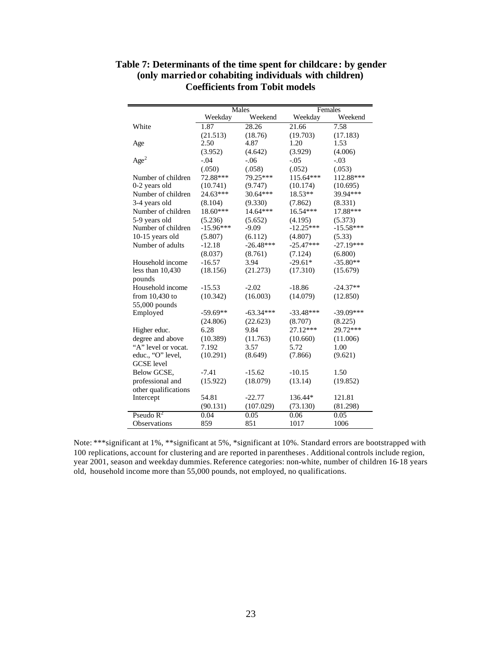|                      |             | Males       | Females     |             |  |  |
|----------------------|-------------|-------------|-------------|-------------|--|--|
|                      | Weekday     | Weekend     | Weekday     | Weekend     |  |  |
| White                | 1.87        | 28.26       | 21.66       | 7.58        |  |  |
|                      | (21.513)    | (18.76)     | (19.703)    | (17.183)    |  |  |
| Age                  | 2.50        | 4.87        | 1.20        | 1.53        |  |  |
|                      | (3.952)     | (4.642)     | (3.929)     | (4.006)     |  |  |
| Age <sup>2</sup>     | $-.04$      | $-.06$      | $-.05$      | $-.03$      |  |  |
|                      | (.050)      | (.058)      | (.052)      | (.053)      |  |  |
| Number of children   | 72.88***    | 79.25***    | $115.64***$ | 112.88***   |  |  |
| 0-2 years old        | (10.741)    | (9.747)     | (10.174)    | (10.695)    |  |  |
| Number of children   | 24.63***    | 30.64***    | $18.53**$   | 39.94***    |  |  |
| 3-4 years old        | (8.104)     | (9.330)     | (7.862)     | (8.331)     |  |  |
| Number of children   | $18.60***$  | $14.64***$  | $16.54***$  | 17.88***    |  |  |
| 5-9 years old        | (5.236)     | (5.652)     | (4.195)     | (5.373)     |  |  |
| Number of children   | $-15.96***$ | $-9.09$     | $-12.25***$ | $-15.58***$ |  |  |
| 10-15 years old      | (5.807)     | (6.112)     | (4.807)     | (5.33)      |  |  |
| Number of adults     | $-12.18$    | $-26.48***$ | $-25.47***$ | $-27.19***$ |  |  |
|                      | (8.037)     | (8.761)     | (7.124)     | (6.800)     |  |  |
| Household income     | $-16.57$    | 3.94        | $-29.61*$   | $-35.80**$  |  |  |
| less than $10,430$   | (18.156)    | (21.273)    | (17.310)    | (15.679)    |  |  |
| pounds               |             |             |             |             |  |  |
| Household income     | $-15.53$    | $-2.02$     | $-18.86$    | $-24.37**$  |  |  |
| from $10,430$ to     | (10.342)    | (16.003)    | (14.079)    | (12.850)    |  |  |
| 55,000 pounds        |             |             |             |             |  |  |
| Employed             | $-59.69**$  | $-63.34***$ | $-33.48***$ | $-39.09***$ |  |  |
|                      | (24.806)    | (22.623)    | (8.707)     | (8.225)     |  |  |
| Higher educ.         | 6.28        | 9.84        | 27.12***    | 29.72***    |  |  |
| degree and above     | (10.389)    | (11.763)    | (10.660)    | (11.006)    |  |  |
| "A" level or vocat.  | 7.192       | 3.57        | 5.72        | 1.00        |  |  |
| educ., "O" level,    | (10.291)    | (8.649)     | (7.866)     | (9.621)     |  |  |
| <b>GCSE</b> level    |             |             |             |             |  |  |
| Below GCSE,          | $-7.41$     | $-15.62$    | $-10.15$    | 1.50        |  |  |
| professional and     | (15.922)    | (18.079)    | (13.14)     | (19.852)    |  |  |
| other qualifications |             |             |             |             |  |  |
| Intercept            | 54.81       | $-22.77$    | 136.44*     | 121.81      |  |  |
|                      | (90.131)    | (107.029)   | (73.130)    | (81.298)    |  |  |
| Pseudo $R^2$         | 0.04        | 0.05        | 0.06        | 0.05        |  |  |
| <b>Observations</b>  | 859         | 851         | 1017        | 1006        |  |  |

**Table 7: Determinants of the time spent for childcare : by gender (only married or cohabiting individuals with children) Coefficients from Tobit models**

Note: \*\*\*significant at 1%, \*\*significant at 5%, \*significant at 10%. Standard errors are bootstrapped with 100 replications, account for clustering and are reported in parentheses. Additional controls include region, year 2001, season and weekday dummies. Reference categories: non-white, number of children 16-18 years old, household income more than 55,000 pounds, not employed, no qualifications.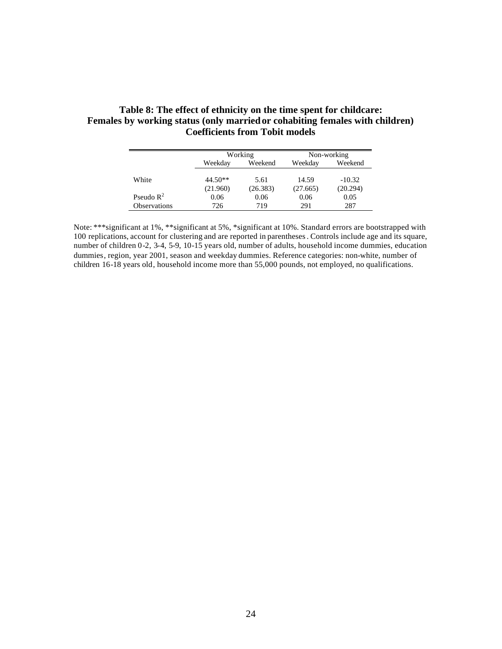### **Table 8: The effect of ethnicity on the time spent for childcare: Females by working status (only married or cohabiting females with children) Coefficients from Tobit models**

|                       |           | Working  | Non-working |          |  |
|-----------------------|-----------|----------|-------------|----------|--|
|                       | Weekday   | Weekend  |             | Weekend  |  |
|                       |           |          |             |          |  |
| White                 | $44.50**$ | 5.61     | 14.59       | $-10.32$ |  |
|                       | (21.960)  | (26.383) | (27.665)    | (20.294) |  |
| Pseudo $\mathbb{R}^2$ | 0.06      | 0.06     | 0.06        | 0.05     |  |
| <b>Observations</b>   | 726       | 719      | 291         | 287      |  |

Note: \*\*\*significant at 1%, \*\*significant at 5%, \*significant at 10%. Standard errors are bootstrapped with 100 replications, account for clustering and are reported in parentheses. Controls include age and its square, number of children 0-2, 3-4, 5-9, 10-15 years old, number of adults, household income dummies, education dummies, region, year 2001, season and weekday dummies. Reference categories: non-white, number of children 16-18 years old, household income more than 55,000 pounds, not employed, no qualifications.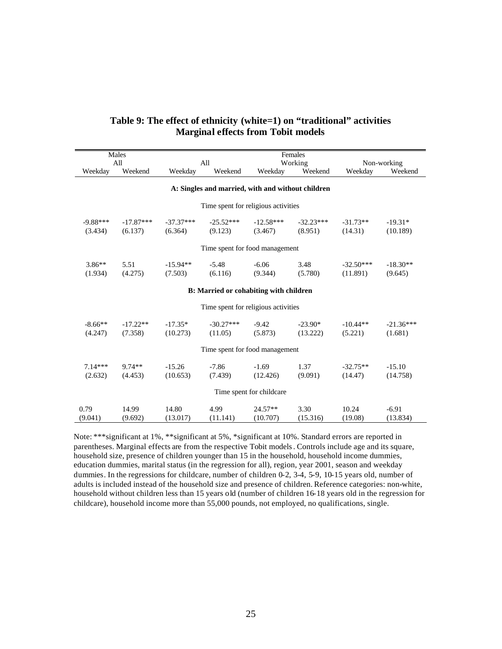|            | Males                                             | Females     |                                        |                          |             |             |             |  |  |  |
|------------|---------------------------------------------------|-------------|----------------------------------------|--------------------------|-------------|-------------|-------------|--|--|--|
|            | All                                               |             | All                                    |                          | Working     |             | Non-working |  |  |  |
| Weekday    | Weekend                                           | Weekday     | Weekend                                | Weekday                  | Weekend     | Weekday     | Weekend     |  |  |  |
|            | A: Singles and married, with and without children |             |                                        |                          |             |             |             |  |  |  |
|            |                                                   |             | Time spent for religious activities    |                          |             |             |             |  |  |  |
| $-9.88***$ | $-17.87***$                                       | $-37.37***$ | $-25.52***$                            | $-12.58***$              | $-32.23***$ | $-31.73**$  | $-19.31*$   |  |  |  |
| (3.434)    | (6.137)                                           | (6.364)     | (9.123)                                | (3.467)                  | (8.951)     | (14.31)     | (10.189)    |  |  |  |
|            |                                                   |             |                                        |                          |             |             |             |  |  |  |
|            |                                                   |             | Time spent for food management         |                          |             |             |             |  |  |  |
| $3.86**$   | 5.51                                              | $-15.94**$  | $-5.48$                                | $-6.06$                  | 3.48        | $-32.50***$ | $-18.30**$  |  |  |  |
| (1.934)    | (4.275)                                           | (7.503)     | (6.116)                                | (9.344)                  | (5.780)     | (11.891)    | (9.645)     |  |  |  |
|            |                                                   |             |                                        |                          |             |             |             |  |  |  |
|            |                                                   |             | B: Married or cohabiting with children |                          |             |             |             |  |  |  |
|            |                                                   |             | Time spent for religious activities    |                          |             |             |             |  |  |  |
| $-8.66**$  | $-17.22**$                                        | $-17.35*$   | $-30.27***$                            | $-9.42$                  | $-23.90*$   | $-10.44**$  | $-21.36***$ |  |  |  |
| (4.247)    | (7.358)                                           | (10.273)    | (11.05)                                | (5.873)                  | (13.222)    | (5.221)     | (1.681)     |  |  |  |
|            |                                                   |             |                                        |                          |             |             |             |  |  |  |
|            |                                                   |             | Time spent for food management         |                          |             |             |             |  |  |  |
| $7.14***$  | 9.74**                                            | $-15.26$    | $-7.86$                                | $-1.69$                  | 1.37        | $-32.75**$  | $-15.10$    |  |  |  |
| (2.632)    | (4.453)                                           | (10.653)    | (7.439)                                | (12.426)                 | (9.091)     | (14.47)     | (14.758)    |  |  |  |
|            |                                                   |             |                                        |                          |             |             |             |  |  |  |
|            |                                                   |             |                                        | Time spent for childcare |             |             |             |  |  |  |
| 0.79       | 14.99                                             | 14.80       | 4.99                                   | $24.57**$                | 3.30        | 10.24       | $-6.91$     |  |  |  |
| (9.041)    | (9.692)                                           | (13.017)    | (11.141)                               | (10.707)                 | (15.316)    | (19.08)     | (13.834)    |  |  |  |

### **Table 9: The effect of ethnicity (white=1) on "traditional" activities Marginal effects from Tobit models**

Note: \*\*\*significant at 1%, \*\*significant at 5%, \*significant at 10%. Standard errors are reported in parentheses. Marginal effects are from the respective Tobit models. Controls include age and its square, household size, presence of children younger than 15 in the household, household income dummies, education dummies, marital status (in the regression for all), region, year 2001, season and weekday dummies. In the regressions for childcare, number of children 0-2, 3-4, 5-9, 10-15 years old, number of adults is included instead of the household size and presence of children. Reference categories: non-white, household without children less than 15 years old (number of children 16-18 years old in the regression for childcare), household income more than 55,000 pounds, not employed, no qualifications, single.